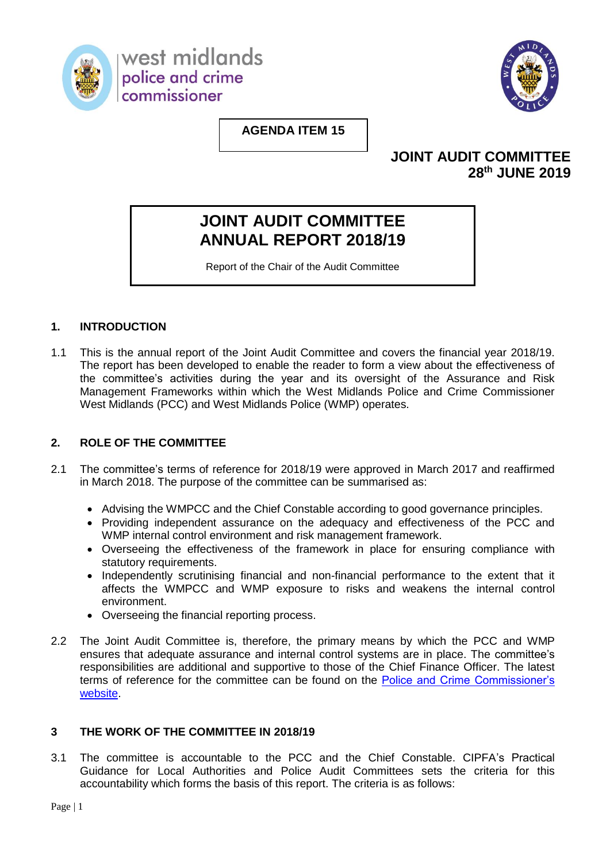

west midlands police and crime commissioner



### **AGENDA ITEM 15**

### **JOINT AUDIT COMMITTEE 28 th JUNE 2019**

# **JOINT AUDIT COMMITTEE ANNUAL REPORT 2018/19**

Report of the Chair of the Audit Committee

#### **1. INTRODUCTION**

1.1 This is the annual report of the Joint Audit Committee and covers the financial year 2018/19. The report has been developed to enable the reader to form a view about the effectiveness of the committee's activities during the year and its oversight of the Assurance and Risk Management Frameworks within which the West Midlands Police and Crime Commissioner West Midlands (PCC) and West Midlands Police (WMP) operates.

#### **2. ROLE OF THE COMMITTEE**

- 2.1 The committee's terms of reference for 2018/19 were approved in March 2017 and reaffirmed in March 2018. The purpose of the committee can be summarised as:
	- Advising the WMPCC and the Chief Constable according to good governance principles.
	- Providing independent assurance on the adequacy and effectiveness of the PCC and WMP internal control environment and risk management framework.
	- Overseeing the effectiveness of the framework in place for ensuring compliance with statutory requirements.
	- Independently scrutinising financial and non-financial performance to the extent that it affects the WMPCC and WMP exposure to risks and weakens the internal control environment.
	- Overseeing the financial reporting process.
- 2.2 The Joint Audit Committee is, therefore, the primary means by which the PCC and WMP ensures that adequate assurance and internal control systems are in place. The committee's responsibilities are additional and supportive to those of the Chief Finance Officer. The latest terms of reference for the committee can be found on the [Police and Crime Commissioner's](https://www.westmidlands-pcc.gov.uk/media/451419/JAC-Terms-of-Reference-March-2017.pdf)  [website.](https://www.westmidlands-pcc.gov.uk/media/451419/JAC-Terms-of-Reference-March-2017.pdf)

#### **3 THE WORK OF THE COMMITTEE IN 2018/19**

3.1 The committee is accountable to the PCC and the Chief Constable. CIPFA's Practical Guidance for Local Authorities and Police Audit Committees sets the criteria for this accountability which forms the basis of this report. The criteria is as follows: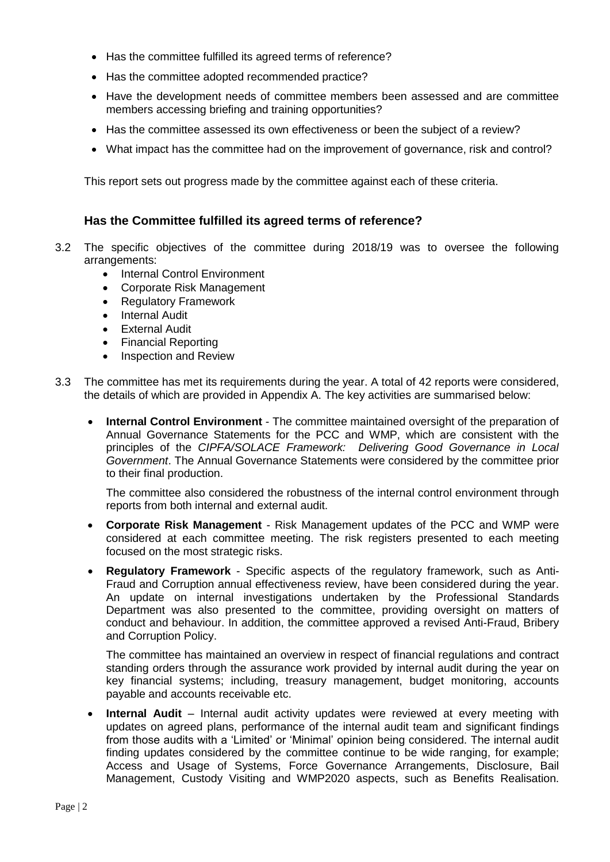- Has the committee fulfilled its agreed terms of reference?
- Has the committee adopted recommended practice?
- Have the development needs of committee members been assessed and are committee members accessing briefing and training opportunities?
- Has the committee assessed its own effectiveness or been the subject of a review?
- What impact has the committee had on the improvement of governance, risk and control?

This report sets out progress made by the committee against each of these criteria.

#### **Has the Committee fulfilled its agreed terms of reference?**

- 3.2 The specific objectives of the committee during 2018/19 was to oversee the following arrangements:
	- Internal Control Environment
	- Corporate Risk Management
	- Regulatory Framework
	- Internal Audit
	- External Audit
	- Financial Reporting
	- Inspection and Review
- 3.3 The committee has met its requirements during the year. A total of 42 reports were considered, the details of which are provided in Appendix A. The key activities are summarised below:
	- **Internal Control Environment** The committee maintained oversight of the preparation of Annual Governance Statements for the PCC and WMP, which are consistent with the principles of the *CIPFA/SOLACE Framework: Delivering Good Governance in Local Government*. The Annual Governance Statements were considered by the committee prior to their final production.

The committee also considered the robustness of the internal control environment through reports from both internal and external audit.

- **Corporate Risk Management** Risk Management updates of the PCC and WMP were considered at each committee meeting. The risk registers presented to each meeting focused on the most strategic risks.
- **Regulatory Framework** Specific aspects of the regulatory framework, such as Anti-Fraud and Corruption annual effectiveness review, have been considered during the year. An update on internal investigations undertaken by the Professional Standards Department was also presented to the committee, providing oversight on matters of conduct and behaviour. In addition, the committee approved a revised Anti-Fraud, Bribery and Corruption Policy.

The committee has maintained an overview in respect of financial regulations and contract standing orders through the assurance work provided by internal audit during the year on key financial systems; including, treasury management, budget monitoring, accounts payable and accounts receivable etc.

**Internal Audit** – Internal audit activity updates were reviewed at every meeting with updates on agreed plans, performance of the internal audit team and significant findings from those audits with a 'Limited' or 'Minimal' opinion being considered. The internal audit finding updates considered by the committee continue to be wide ranging, for example; Access and Usage of Systems, Force Governance Arrangements, Disclosure, Bail Management, Custody Visiting and WMP2020 aspects, such as Benefits Realisation.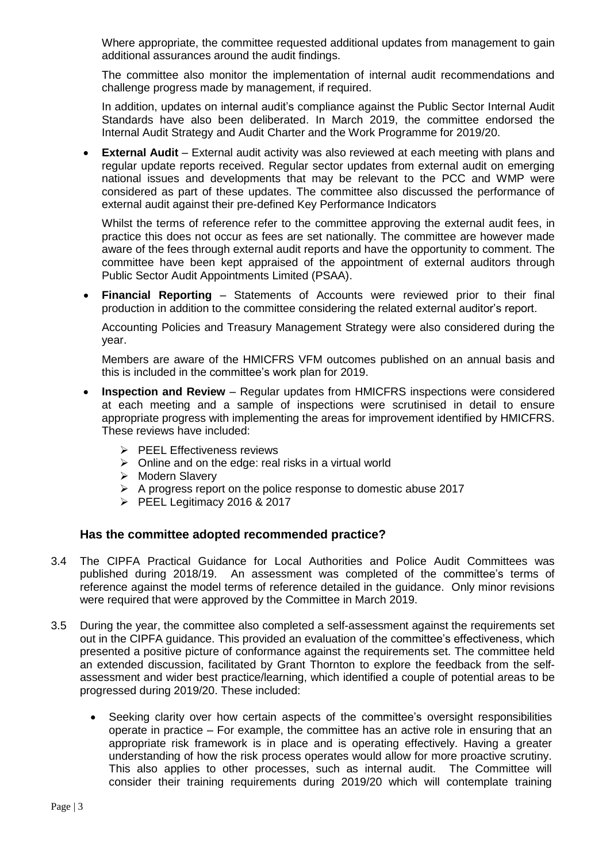Where appropriate, the committee requested additional updates from management to gain additional assurances around the audit findings.

The committee also monitor the implementation of internal audit recommendations and challenge progress made by management, if required.

In addition, updates on internal audit's compliance against the Public Sector Internal Audit Standards have also been deliberated. In March 2019, the committee endorsed the Internal Audit Strategy and Audit Charter and the Work Programme for 2019/20.

**External Audit** – External audit activity was also reviewed at each meeting with plans and regular update reports received. Regular sector updates from external audit on emerging national issues and developments that may be relevant to the PCC and WMP were considered as part of these updates. The committee also discussed the performance of external audit against their pre-defined Key Performance Indicators

Whilst the terms of reference refer to the committee approving the external audit fees, in practice this does not occur as fees are set nationally. The committee are however made aware of the fees through external audit reports and have the opportunity to comment. The committee have been kept appraised of the appointment of external auditors through Public Sector Audit Appointments Limited (PSAA).

 **Financial Reporting** – Statements of Accounts were reviewed prior to their final production in addition to the committee considering the related external auditor's report.

Accounting Policies and Treasury Management Strategy were also considered during the year.

Members are aware of the HMICFRS VFM outcomes published on an annual basis and this is included in the committee's work plan for 2019.

- **Inspection and Review** Regular updates from HMICFRS inspections were considered at each meeting and a sample of inspections were scrutinised in detail to ensure appropriate progress with implementing the areas for improvement identified by HMICFRS. These reviews have included:
	- $\triangleright$  PEEL Effectiveness reviews
	- $\triangleright$  Online and on the edge: real risks in a virtual world
	- $\triangleright$  Modern Slavery
	- $\triangleright$  A progress report on the police response to domestic abuse 2017
	- PEEL Legitimacy 2016 & 2017

#### **Has the committee adopted recommended practice?**

- 3.4 The CIPFA Practical Guidance for Local Authorities and Police Audit Committees was published during 2018/19. An assessment was completed of the committee's terms of reference against the model terms of reference detailed in the guidance. Only minor revisions were required that were approved by the Committee in March 2019.
- 3.5 During the year, the committee also completed a self-assessment against the requirements set out in the CIPFA guidance. This provided an evaluation of the committee's effectiveness, which presented a positive picture of conformance against the requirements set. The committee held an extended discussion, facilitated by Grant Thornton to explore the feedback from the selfassessment and wider best practice/learning, which identified a couple of potential areas to be progressed during 2019/20. These included:
	- Seeking clarity over how certain aspects of the committee's oversight responsibilities operate in practice – For example, the committee has an active role in ensuring that an appropriate risk framework is in place and is operating effectively. Having a greater understanding of how the risk process operates would allow for more proactive scrutiny. This also applies to other processes, such as internal audit. The Committee will consider their training requirements during 2019/20 which will contemplate training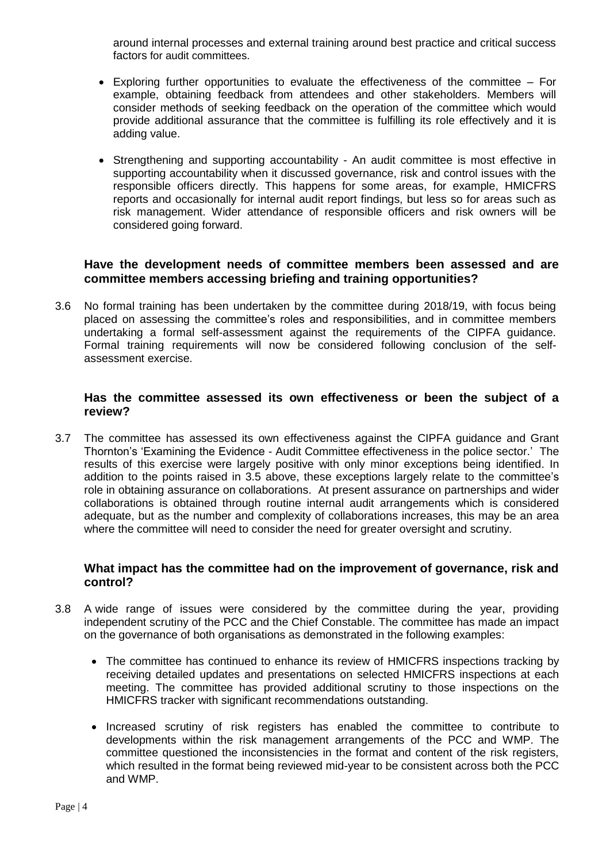around internal processes and external training around best practice and critical success factors for audit committees.

- Exploring further opportunities to evaluate the effectiveness of the committee For example, obtaining feedback from attendees and other stakeholders. Members will consider methods of seeking feedback on the operation of the committee which would provide additional assurance that the committee is fulfilling its role effectively and it is adding value.
- Strengthening and supporting accountability An audit committee is most effective in supporting accountability when it discussed governance, risk and control issues with the responsible officers directly. This happens for some areas, for example, HMICFRS reports and occasionally for internal audit report findings, but less so for areas such as risk management. Wider attendance of responsible officers and risk owners will be considered going forward.

#### **Have the development needs of committee members been assessed and are committee members accessing briefing and training opportunities?**

3.6 No formal training has been undertaken by the committee during 2018/19, with focus being placed on assessing the committee's roles and responsibilities, and in committee members undertaking a formal self-assessment against the requirements of the CIPFA guidance. Formal training requirements will now be considered following conclusion of the selfassessment exercise.

#### **Has the committee assessed its own effectiveness or been the subject of a review?**

3.7 The committee has assessed its own effectiveness against the CIPFA guidance and Grant Thornton's 'Examining the Evidence - Audit Committee effectiveness in the police sector.' The results of this exercise were largely positive with only minor exceptions being identified. In addition to the points raised in 3.5 above, these exceptions largely relate to the committee's role in obtaining assurance on collaborations. At present assurance on partnerships and wider collaborations is obtained through routine internal audit arrangements which is considered adequate, but as the number and complexity of collaborations increases, this may be an area where the committee will need to consider the need for greater oversight and scrutiny.

#### **What impact has the committee had on the improvement of governance, risk and control?**

- 3.8 A wide range of issues were considered by the committee during the year, providing independent scrutiny of the PCC and the Chief Constable. The committee has made an impact on the governance of both organisations as demonstrated in the following examples:
	- The committee has continued to enhance its review of HMICFRS inspections tracking by receiving detailed updates and presentations on selected HMICFRS inspections at each meeting. The committee has provided additional scrutiny to those inspections on the HMICFRS tracker with significant recommendations outstanding.
	- Increased scrutiny of risk registers has enabled the committee to contribute to developments within the risk management arrangements of the PCC and WMP. The committee questioned the inconsistencies in the format and content of the risk registers, which resulted in the format being reviewed mid-year to be consistent across both the PCC and WMP.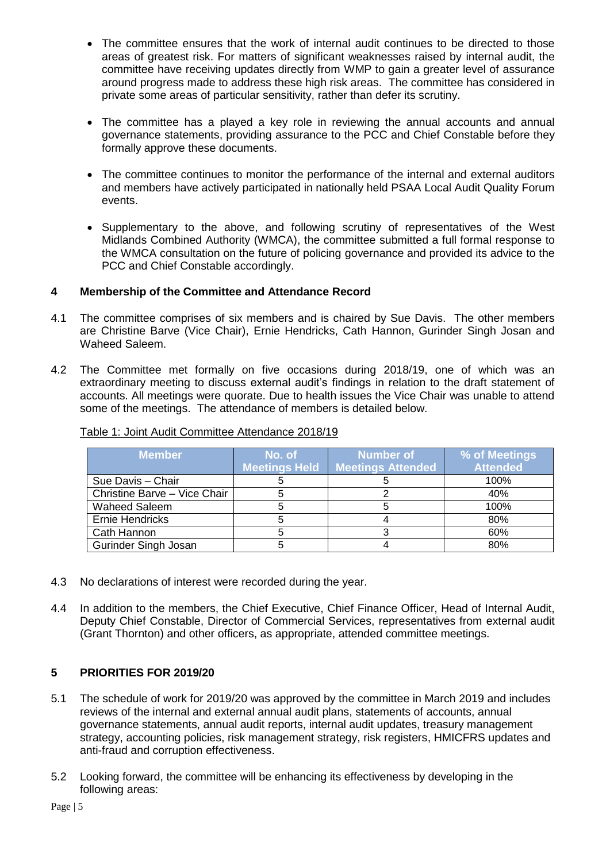- The committee ensures that the work of internal audit continues to be directed to those areas of greatest risk. For matters of significant weaknesses raised by internal audit, the committee have receiving updates directly from WMP to gain a greater level of assurance around progress made to address these high risk areas. The committee has considered in private some areas of particular sensitivity, rather than defer its scrutiny.
- The committee has a played a key role in reviewing the annual accounts and annual governance statements, providing assurance to the PCC and Chief Constable before they formally approve these documents.
- The committee continues to monitor the performance of the internal and external auditors and members have actively participated in nationally held PSAA Local Audit Quality Forum events.
- Supplementary to the above, and following scrutiny of representatives of the West Midlands Combined Authority (WMCA), the committee submitted a full formal response to the WMCA consultation on the future of policing governance and provided its advice to the PCC and Chief Constable accordingly.

#### **4 Membership of the Committee and Attendance Record**

- 4.1 The committee comprises of six members and is chaired by Sue Davis. The other members are Christine Barve (Vice Chair), Ernie Hendricks, Cath Hannon, Gurinder Singh Josan and Waheed Saleem.
- 4.2 The Committee met formally on five occasions during 2018/19, one of which was an extraordinary meeting to discuss external audit's findings in relation to the draft statement of accounts. All meetings were quorate. Due to health issues the Vice Chair was unable to attend some of the meetings. The attendance of members is detailed below.

| <b>Member</b>                | No. of<br><b>Meetings Held</b> | Number of<br><b>Meetings Attended</b> | % of Meetings<br><b>Attended</b> |
|------------------------------|--------------------------------|---------------------------------------|----------------------------------|
| Sue Davis - Chair            |                                |                                       | 100%                             |
| Christine Barve - Vice Chair |                                |                                       | 40%                              |
| <b>Waheed Saleem</b>         |                                |                                       | 100%                             |
| Ernie Hendricks              |                                |                                       | 80%                              |
| Cath Hannon                  |                                |                                       | 60%                              |
| <b>Gurinder Singh Josan</b>  |                                |                                       | 80%                              |

#### Table 1: Joint Audit Committee Attendance 2018/19

- 4.3 No declarations of interest were recorded during the year.
- 4.4 In addition to the members, the Chief Executive, Chief Finance Officer, Head of Internal Audit, Deputy Chief Constable, Director of Commercial Services, representatives from external audit (Grant Thornton) and other officers, as appropriate, attended committee meetings.

#### **5 PRIORITIES FOR 2019/20**

- 5.1 The schedule of work for 2019/20 was approved by the committee in March 2019 and includes reviews of the internal and external annual audit plans, statements of accounts, annual governance statements, annual audit reports, internal audit updates, treasury management strategy, accounting policies, risk management strategy, risk registers, HMICFRS updates and anti-fraud and corruption effectiveness.
- 5.2 Looking forward, the committee will be enhancing its effectiveness by developing in the following areas: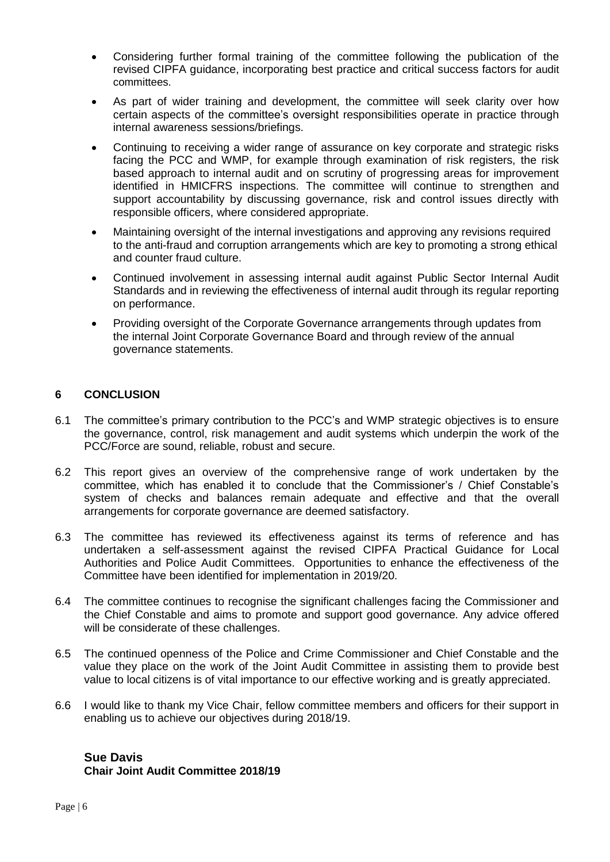- Considering further formal training of the committee following the publication of the revised CIPFA guidance, incorporating best practice and critical success factors for audit committees.
- As part of wider training and development, the committee will seek clarity over how certain aspects of the committee's oversight responsibilities operate in practice through internal awareness sessions/briefings.
- Continuing to receiving a wider range of assurance on key corporate and strategic risks facing the PCC and WMP, for example through examination of risk registers, the risk based approach to internal audit and on scrutiny of progressing areas for improvement identified in HMICFRS inspections. The committee will continue to strengthen and support accountability by discussing governance, risk and control issues directly with responsible officers, where considered appropriate.
- Maintaining oversight of the internal investigations and approving any revisions required to the anti-fraud and corruption arrangements which are key to promoting a strong ethical and counter fraud culture.
- Continued involvement in assessing internal audit against Public Sector Internal Audit Standards and in reviewing the effectiveness of internal audit through its regular reporting on performance.
- Providing oversight of the Corporate Governance arrangements through updates from the internal Joint Corporate Governance Board and through review of the annual governance statements.

#### **6 CONCLUSION**

- 6.1 The committee's primary contribution to the PCC's and WMP strategic objectives is to ensure the governance, control, risk management and audit systems which underpin the work of the PCC/Force are sound, reliable, robust and secure.
- 6.2 This report gives an overview of the comprehensive range of work undertaken by the committee, which has enabled it to conclude that the Commissioner's / Chief Constable's system of checks and balances remain adequate and effective and that the overall arrangements for corporate governance are deemed satisfactory.
- 6.3 The committee has reviewed its effectiveness against its terms of reference and has undertaken a self-assessment against the revised CIPFA Practical Guidance for Local Authorities and Police Audit Committees. Opportunities to enhance the effectiveness of the Committee have been identified for implementation in 2019/20.
- 6.4 The committee continues to recognise the significant challenges facing the Commissioner and the Chief Constable and aims to promote and support good governance. Any advice offered will be considerate of these challenges.
- 6.5 The continued openness of the Police and Crime Commissioner and Chief Constable and the value they place on the work of the Joint Audit Committee in assisting them to provide best value to local citizens is of vital importance to our effective working and is greatly appreciated.
- 6.6 I would like to thank my Vice Chair, fellow committee members and officers for their support in enabling us to achieve our objectives during 2018/19.

## **Sue Davis**

**Chair Joint Audit Committee 2018/19**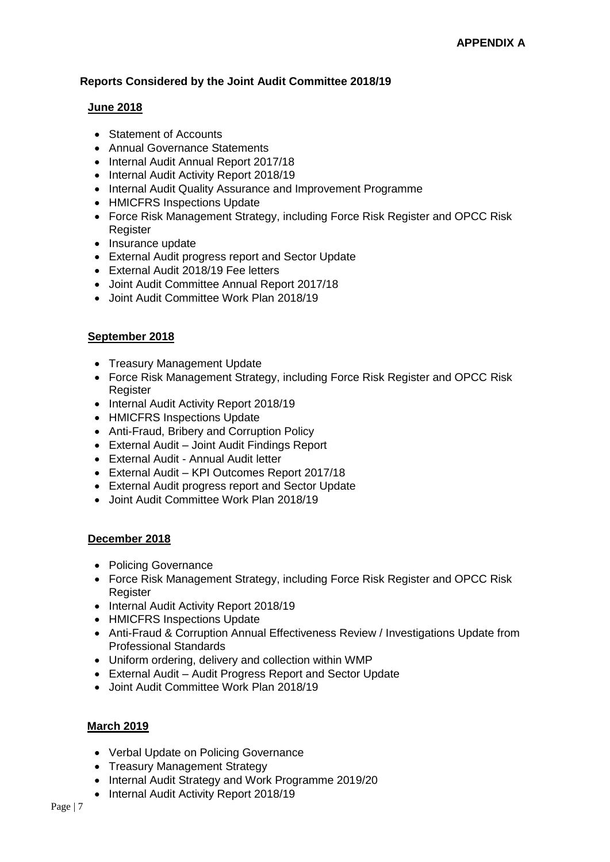#### **Reports Considered by the Joint Audit Committee 2018/19**

#### **June 2018**

- Statement of Accounts
- Annual Governance Statements
- Internal Audit Annual Report 2017/18
- Internal Audit Activity Report 2018/19
- Internal Audit Quality Assurance and Improvement Programme
- HMICFRS Inspections Update
- Force Risk Management Strategy, including Force Risk Register and OPCC Risk **Register**
- Insurance update
- External Audit progress report and Sector Update
- External Audit 2018/19 Fee letters
- Joint Audit Committee Annual Report 2017/18
- Joint Audit Committee Work Plan 2018/19

#### **September 2018**

- Treasury Management Update
- Force Risk Management Strategy, including Force Risk Register and OPCC Risk **Register**
- Internal Audit Activity Report 2018/19
- HMICFRS Inspections Update
- Anti-Fraud, Bribery and Corruption Policy
- External Audit Joint Audit Findings Report
- External Audit Annual Audit letter
- External Audit KPI Outcomes Report 2017/18
- External Audit progress report and Sector Update
- Joint Audit Committee Work Plan 2018/19

#### **December 2018**

- Policing Governance
- Force Risk Management Strategy, including Force Risk Register and OPCC Risk **Register**
- Internal Audit Activity Report 2018/19
- HMICFRS Inspections Update
- Anti-Fraud & Corruption Annual Effectiveness Review / Investigations Update from Professional Standards
- Uniform ordering, delivery and collection within WMP
- External Audit Audit Progress Report and Sector Update
- Joint Audit Committee Work Plan 2018/19

#### **March 2019**

- Verbal Update on Policing Governance
- Treasury Management Strategy
- Internal Audit Strategy and Work Programme 2019/20
- Internal Audit Activity Report 2018/19